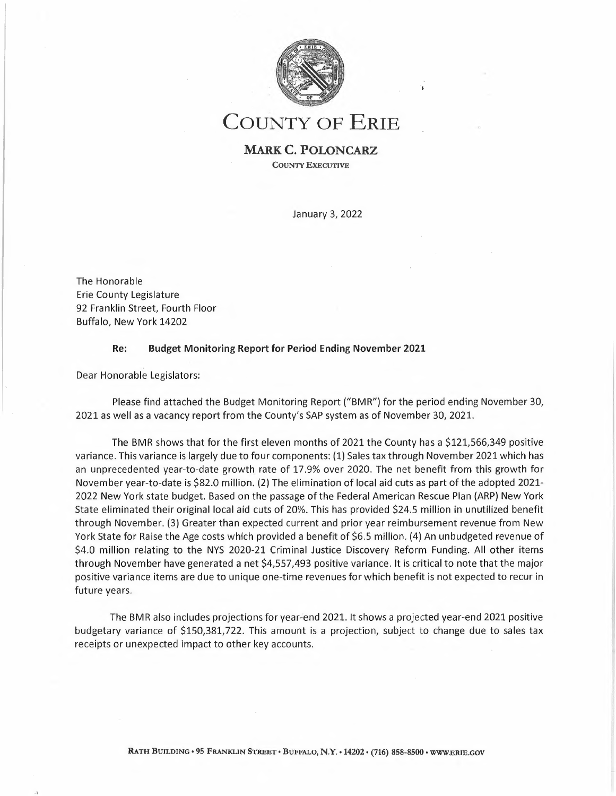

**COUNTY OF ERIE**

**MARK C. POLONCARZ COUNTY EXECUTIVE**

January 3, 2022

The Honorable Erie County Legislature 92 Franklin Street, Fourth Floor Buffalo, New York 14202

# **Re: Budget Monitoring Report for Period Ending November 2021**

Dear Honorable Legislators:

Please find attached the Budget Monitoring Report ("BMR") for the period ending November 30, 2021 as well as <sup>a</sup> vacancy report from the County's SAP system as of November 30, 2021.

The BMR shows that for the first eleven months of 2021 the County has <sup>a</sup> \$121,566,349 positive variance. This variance is largely due to four components: (1) Sales tax through November 2021 which has an unprecedented year-to-date growth rate of 17.9% over 2020. The net benefit from this growth for November year-to-date is \$82.0 million. (2) The elimination of local aid cuts as part of the adopted 2021- 2022 New York state budget. Based on the passage of the Federal American Rescue Plan (ARP) New York State eliminated their original local aid cuts of 20%. This has provided \$24.5 million in unutilized benefit through November. (3) Greater than expected current and prior year reimbursement revenue from New York State for Raise the Age costs which provided <sup>a</sup> benefit of \$6.5 million. (4) An unbudgeted revenue of \$4.0 million relating to the NYS 2020-21 Criminal Justice Discovery Reform Funding. All other items through November have generated <sup>a</sup> net \$4,557,493 positive variance. It is critical to note that the major positive variance items are due to unique one-time revenues for which benefit is not expected to recur in future years.

The BMR also includes projections for year-end 2021. It shows <sup>a</sup> projected year-end 2021 positive budgetary variance of \$150,381,722. This amount is <sup>a</sup> projection, subject to change due to sales tax receipts or unexpected impact to other key accounts.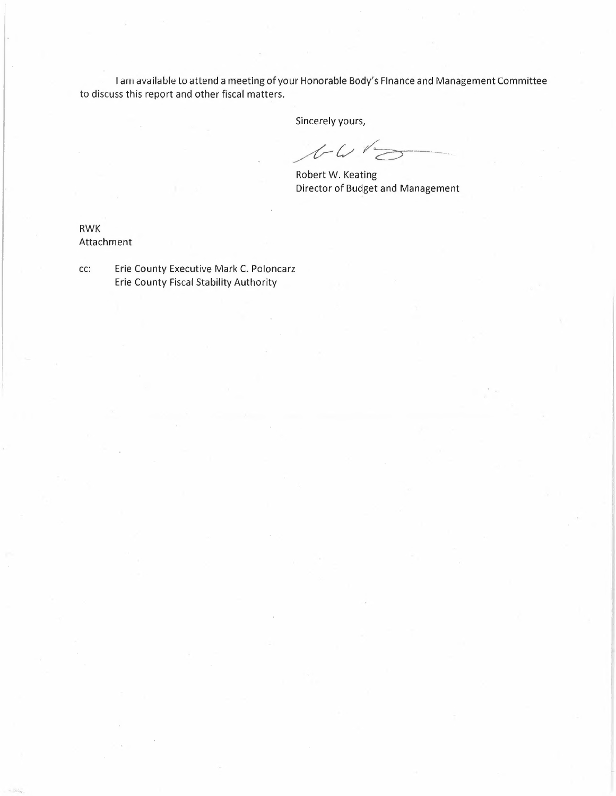<sup>l</sup> am available to attend <sup>a</sup> meeting of your Honorable Body's Finance and Management Committee to discuss this report and other fiscal matters.

Sincerely yours,

 $1-U$ 

Robert W. Keating Director of Budget and Management

RWK Attachment

cc: Erie County Executive Mark C. Poloncarz Erie County Fiscal Stability Authority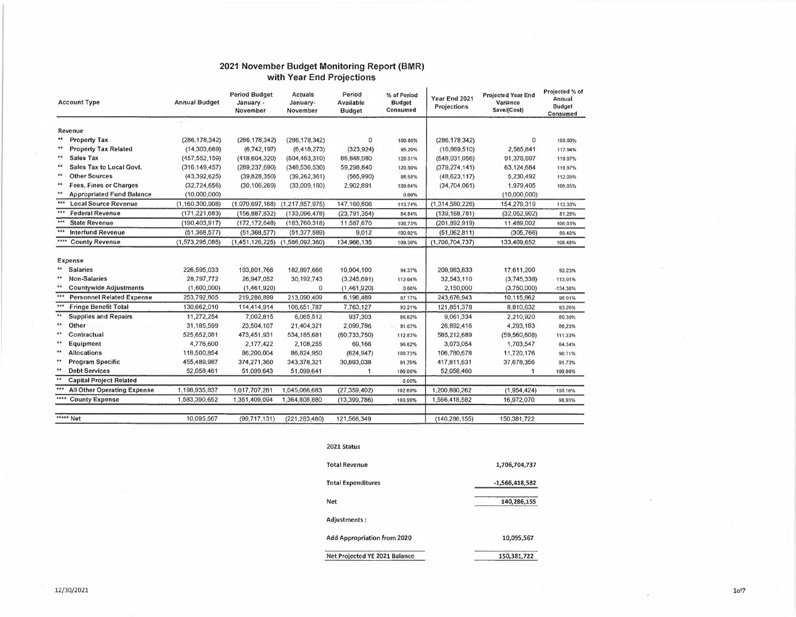## **2021 November Budget Monitoring Report (BMR) with Year End Projections**

|             | <b>Account Type</b>                | <b>Annual Budget</b> | <b>Period Budget</b><br>January -<br>November | <b>Actuals</b><br>January-<br>November | Period<br>Available<br><b>Budget</b> | % of Period<br><b>Budget</b><br>Consumed | Year End 2021<br><b>Projections</b> | <b>Projected Year End</b><br>Variance<br>Save/(Cost) | Projected % of<br>Annual<br>Budget<br>Consumed |
|-------------|------------------------------------|----------------------|-----------------------------------------------|----------------------------------------|--------------------------------------|------------------------------------------|-------------------------------------|------------------------------------------------------|------------------------------------------------|
|             | Revenue                            |                      |                                               |                                        |                                      |                                          |                                     |                                                      |                                                |
| $**$        | <b>Property Tax</b>                | (286, 178, 342)      | (286, 178, 342)                               | (286, 178, 342)                        | 0                                    | 100.00%                                  | (286, 178, 342)                     | $\mathbf 0$                                          | 100.00%                                        |
| $*$         | <b>Property Tax Related</b>        | (14, 303, 669)       | (6.742.197)                                   | (6, 418, 273)                          | (323, 924)                           | 95.20%                                   | (16.869.510)                        | 2,565,841                                            | 117.94%                                        |
| $* *$       | Sales Tax                          | (457, 552, 159)      | (418, 604, 320)                               | (504, 453, 310)                        | 85,848,989                           | 120.51%                                  | (548, 931, 056)                     | 91,378,897                                           | 119.97%                                        |
| $\pm\pm$    | Sales Tax to Local Govt.           | (316, 149, 457)      | (289, 237, 690)                               | (348, 536, 530)                        | 59,298,840                           | 120.50%                                  | (379, 274, 141)                     | 63,124,684                                           | 119.97%                                        |
| $**$        | <b>Other Sources</b>               | (43, 392, 625)       | (39,828,350)                                  | (39, 262, 361)                         | (565, 990)                           | 98,58%                                   | (48, 623, 117)                      | 5,230,492                                            | 112.05%                                        |
| $**$        | Fees, Fines or Charges             | (32, 724, 656)       | (30, 106, 269)                                | (33,009,160)                           | 2,902,891                            | 109,64%                                  | (34, 704, 061)                      | 1,979,405                                            | 106.05%                                        |
| $A +$       | <b>Appropriated Fund Balance</b>   | (10,000,000)         |                                               |                                        |                                      | 0.00%                                    |                                     | (10,000,000)                                         |                                                |
| ***         | <b>Local Source Revenue</b>        | (1,160,300,908)      | (1,070,697,168)                               | (1, 217, 857, 975)                     | 147,160,806                          | 113.74%                                  | (1, 314, 580, 226)                  | 154,279,319                                          | 113.30%                                        |
| $* * *$     | <b>Federal Revenue</b>             | (171, 221, 683)      | (156, 887, 832)                               | (133,096,478)                          | (23, 791, 354)                       | 84.84%                                   | (139, 168, 781)                     | (32,052,902)                                         | 81.28%                                         |
| $***$       | <b>State Revenue</b>               | (190, 403, 917)      | (172, 172, 648)                               | (183, 760, 318)                        | 11,587,670                           | 106,73%                                  | (201.892,919)                       | 11.489,002                                           | 106.03%                                        |
| $***$       | <b>Interfund Revenue</b>           | (51, 368, 577)       | (51, 368, 577)                                | (51, 377, 589)                         | 9,012                                | 100.02%                                  | (51,062,811)                        | (305, 766)                                           | 99.40%                                         |
|             | <b>County Revenue</b>              | (1,573,295,085)      | (1,451,126,225)                               | (1,586,092,360)                        | 134,966,135                          | 109.30%                                  | (1,706,704,737)                     | 133,409,652                                          | 108.48%                                        |
|             | Expense                            |                      |                                               |                                        |                                      |                                          |                                     |                                                      |                                                |
| **          | <b>Salaries</b>                    | 226,595,033          | 193,801,766                                   | 182,897,666                            | 10,904,100                           | 94.37%                                   | 208,983,833                         | 17,611,200                                           | 92.23%                                         |
| 青青          | <b>Non-Salaries</b>                | 28,797,772           | 26.947.052                                    | 30,192,743                             | (3.245.691)                          | 112.04%                                  | 32,543,110                          | (3,745,338)                                          | 113,01%                                        |
| $*$         | <b>Countywide Adjustments</b>      | (1,600,000)          | (1,461,920)                                   | 0                                      | (1,461,920)                          | 0.00%                                    | 2,150,000                           | (3,750,000)                                          | $-134.38%$                                     |
| ***         | <b>Personnel Related Expense</b>   | 253.792.805          | 219,286,899                                   | 213,090,409                            | 6,196,489                            | 97.17%                                   | 243,676,943                         | 10,115,862                                           | 96.01%                                         |
| ***         | <b>Fringe Benefit Total</b>        | 130,662,010          | 114,414,914                                   | 106,651,787                            | 7,763,127                            | 93.21%                                   | 121,851,378                         | 8,810,632                                            | 93.26%                                         |
| $*$         | <b>Supplies and Repairs</b>        | 11,272,254           | 7,002,815                                     | 6,065,512                              | 937,303                              | 86.62%                                   | 9,061,334                           | 2.210.920                                            | 80.39%                                         |
| $*$         | Other                              | 31,185,599           | 23,504,107                                    | 21,404,321                             | 2,099,786                            | 91.07%                                   | 26,892,416                          | 4,293,183                                            | 86.23%                                         |
| $\pm$ $\pm$ | Contractual                        | 525,652,081          | 473,451,931                                   | 534,185,681                            | (60, 733, 750)                       | 112.83%                                  | 585,212,689                         | (59, 560, 608)                                       | 111.33%                                        |
| $**$        | Equipment                          | 4,776,600            | 2,177,422                                     | 2,108,255                              | 69.166                               | 96.82%                                   | 3,073,054                           | 1,703,547                                            | 64.34%                                         |
| $\pm\pm$    | <b>Allocations</b>                 | 118,500,854          | 86,200,004                                    | 86,824,950                             | (624, 947)                           | 100.73%                                  | 106,780,678                         | 11,720,176                                           | 90.11%                                         |
| $*$         | <b>Program Specific</b>            | 455,489,987          | 374 271 360                                   | 343.378.321                            | 30,893,038                           | 91.75%                                   | 417,811,631                         | 37,678,356                                           | 91.73%                                         |
| $*$         | <b>Debt Services</b>               | 52,058,461           | 51,099,643                                    | 51,099,641                             | 1                                    | 100,00%                                  | 52,058,460                          | 1                                                    | 100,00%                                        |
| $**$        | <b>Capital Project Related</b>     |                      |                                               |                                        |                                      | 0.00%                                    |                                     |                                                      |                                                |
| $***$       | <b>All Other Operating Expense</b> | 1,198,935,837        | 1,017,707,281                                 | 1,045,066,683                          | (27, 359, 402)                       | 102.69%                                  | 1,200,890,262                       | (1,954,424)                                          | 100.16%                                        |
| ****        | <b>County Expense</b>              | 1,583,390,652        | 1,351,409,094                                 | 1,364,808,880                          | (13, 399, 786)                       | 100.99%                                  | 1,566,418,582                       | 16,972,070                                           | 98,93%                                         |
|             | ***** Net                          | 10.095.567           | (99, 717, 131)                                | (221, 283, 480)                        | 121.566.349                          |                                          | (140, 286, 155)                     | 150,381,722                                          |                                                |

#### **2021 Status**

| <b>Total Revenue</b>      | 1,706,704,737    |
|---------------------------|------------------|
| <b>Total Expenditures</b> | $-1,566,418,582$ |
| Net                       | 140,286,155      |
| Adjustments ·             |                  |

150,381,722

**Adjustments :**

**Add Appropriation from 2020** 10,095,567

Net Projected YE <sup>2021</sup> Balance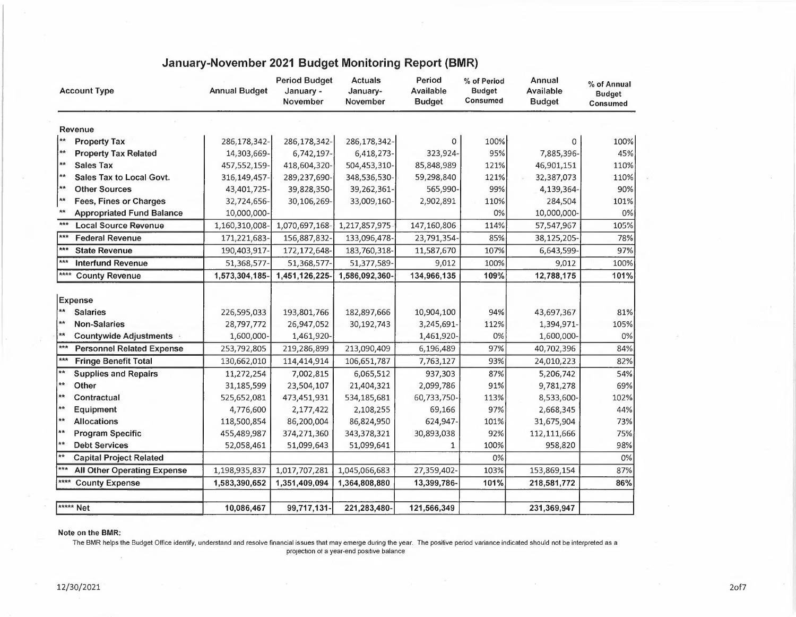|              | <b>Account Type</b>                | <b>Annual Budget</b> | <b>Period Budget</b><br>January -<br>November | <b>Actuals</b><br>January-<br>November | Period<br>Available<br><b>Budget</b> | % of Period<br><b>Budget</b><br>Consumed | Annual<br>Available<br><b>Budget</b> | % of Annual<br><b>Budget</b><br>Consumed |
|--------------|------------------------------------|----------------------|-----------------------------------------------|----------------------------------------|--------------------------------------|------------------------------------------|--------------------------------------|------------------------------------------|
|              | Revenue                            |                      |                                               |                                        |                                      |                                          |                                      |                                          |
| $**$         | <b>Property Tax</b>                | 286,178,342-         | 286,178,342-                                  | 286,178,342-                           | 0                                    | 100%                                     | $\Omega$                             | 100%                                     |
| $**$         | <b>Property Tax Related</b>        | 14,303,669-          | 6,742,197-                                    | 6,418,273-                             | 323,924-                             | 95%                                      | 7,885,396-                           | 45%                                      |
| $**$         | <b>Sales Tax</b>                   | 457,552,159-         | 418,604,320-                                  | 504,453,310-                           | 85,848,989                           | 121%                                     | 46,901,151                           | 110%                                     |
| **           | Sales Tax to Local Govt.           | 316,149,457-         | 289,237,690-                                  | 348,536,530-                           | 59,298,840                           | 121%                                     | 32,387,073                           | 110%                                     |
| **           | <b>Other Sources</b>               | 43,401,725-          | 39,828,350-                                   | 39,262,361-                            | 565,990-                             | 99%                                      | 4,139,364-                           | 90%                                      |
| **           | Fees, Fines or Charges             | 32,724,656-          | 30,106,269-                                   | 33,009,160-                            | 2,902,891                            | 110%                                     | 284,504                              | 101%                                     |
| **           | <b>Appropriated Fund Balance</b>   | 10,000,000-          |                                               |                                        |                                      | 0%                                       | 10,000,000                           | 0%                                       |
| $***$        | <b>Local Source Revenue</b>        | 1,160,310,008-       | 1,070,697,168-                                | 1,217,857,975                          | 147,160,806                          | 114%                                     | 57,547,967                           | 105%                                     |
| ***          | <b>Federal Revenue</b>             | 171,221,683          | 156,887,832                                   | 133,096,478-                           | 23,791,354-                          | 85%                                      | 38,125,205                           | 78%                                      |
| ***          | <b>State Revenue</b>               | 190,403,917-         | 172, 172, 648-                                | 183,760,318-                           | 11,587,670                           | 107%                                     | 6,643,599-                           | 97%                                      |
| $***$        | <b>Interfund Revenue</b>           | 51,368,577           | 51,368,577                                    | 51,377,589-                            | 9,012                                | 100%                                     | 9,012                                | 100%                                     |
| $*****$      | <b>County Revenue</b>              | 1,573,304,185        | 1,451,126,225                                 | 1,586,092,360-                         | 134,966,135                          | 109%                                     | 12,788,175                           | 101%                                     |
|              |                                    |                      |                                               |                                        |                                      |                                          |                                      |                                          |
|              | Expense                            |                      |                                               |                                        |                                      |                                          |                                      |                                          |
| $\star\star$ | <b>Salaries</b>                    | 226,595,033          | 193,801,766                                   | 182,897,666                            | 10,904,100                           | 94%                                      | 43,697,367                           | 81%                                      |
| $**$         | <b>Non-Salaries</b>                | 28,797,772           | 26,947,052                                    | 30,192,743                             | 3,245,691-                           | 112%                                     | 1,394,971-                           | 105%                                     |
| $**$         | <b>Countywide Adjustments</b>      | 1,600,000-           | 1,461,920-                                    |                                        | 1,461,920-                           | 0%                                       | 1,600,000-                           | 0%                                       |
| ***          | <b>Personnel Related Expense</b>   | 253,792,805          | 219,286,899                                   | 213,090,409                            | 6,196,489                            | 97%                                      | 40,702,396                           | 84%                                      |
| $***$        | <b>Fringe Benefit Total</b>        | 130,662,010          | 114,414,914                                   | 106,651,787                            | 7,763,127                            | 93%                                      | 24,010,223                           | 82%                                      |
| **           | <b>Supplies and Repairs</b>        | 11,272,254           | 7,002,815                                     | 6,065,512                              | 937,303                              | 87%                                      | 5,206,742                            | 54%                                      |
| $**$         | Other                              | 31,185,599           | 23,504,107                                    | 21,404,321                             | 2,099,786                            | 91%                                      | 9,781,278                            | 69%                                      |
| $**$         | Contractual                        | 525,652,081          | 473,451,931                                   | 534,185,681                            | 60,733,750-                          | 113%                                     | 8,533,600-                           | 102%                                     |
| $\star\star$ | Equipment                          | 4,776,600            | 2,177,422                                     | 2,108,255                              | 69,166                               | 97%                                      | 2,668,345                            | 44%                                      |
| $\star\star$ | <b>Allocations</b>                 | 118,500,854          | 86,200,004                                    | 86,824,950                             | 624,947-                             | 101%                                     | 31,675,904                           | 73%                                      |
| $\star\star$ | <b>Program Specific</b>            | 455,489,987          | 374,271,360                                   | 343,378,321                            | 30,893,038                           | 92%                                      | 112,111,666                          | 75%                                      |
| $**$         | <b>Debt Services</b>               | 52,058,461           | 51,099,643                                    | 51,099,641                             | 1                                    | 100%                                     | 958,820                              | 98%                                      |
| $*$          | <b>Capital Project Related</b>     |                      |                                               |                                        |                                      | 0%                                       |                                      | 0%                                       |
| $***$        | <b>All Other Operating Expense</b> | 1,198,935,837        | 1,017,707,281                                 | 1,045,066,683                          | 27,359,402                           | 103%                                     | 153,869,154                          | 87%                                      |
| $***$        | <b>County Expense</b>              | 1,583,390,652        | 1,351,409,094                                 | 1,364,808,880                          | 13,399,786-                          | 101%                                     | 218,581,772                          | 86%                                      |
|              | <b>***** Net</b>                   | 10,086,467           | 99,717,131-                                   | 221,283,480-                           | 121,566,349                          |                                          | 231,369,947                          |                                          |

# **January-November 2021 Budget Monitoring Report (BMR)**

### **Note on the BMR:**

The BMR helps the Budget Office identify, understand and resolve financial issues that may emerge during the year. The positive period variance indicated should not be interpreted as a<br>projection of a year-end positive bal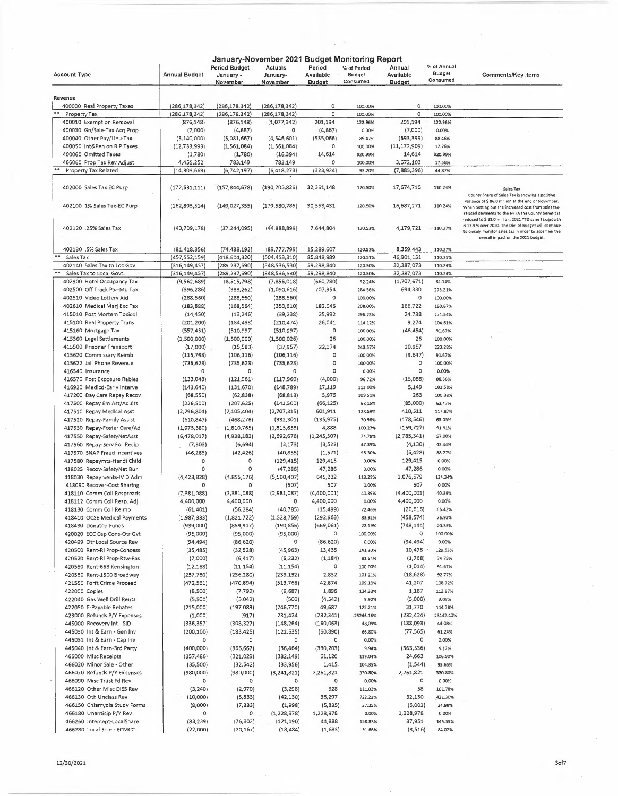|                                                            |                         |                                   | January-November 2021 Budget Monitoring Report |                          |                              |                      |                              |                                                                                                                                                                                                                |
|------------------------------------------------------------|-------------------------|-----------------------------------|------------------------------------------------|--------------------------|------------------------------|----------------------|------------------------------|----------------------------------------------------------------------------------------------------------------------------------------------------------------------------------------------------------------|
| <b>Account Type</b>                                        | <b>Annual Budget</b>    | <b>Pericd Budget</b><br>January - | Actuals<br>January-                            | Period<br>Available      | % of Period<br><b>Budget</b> | Annual<br>Available  | % of Annual<br><b>Budget</b> | <b>Comments/Key Items</b>                                                                                                                                                                                      |
|                                                            |                         | November                          | November                                       | <b>Budget</b>            | Consumed                     | <b>Budget</b>        | Consumed                     |                                                                                                                                                                                                                |
|                                                            |                         |                                   |                                                |                          |                              |                      |                              |                                                                                                                                                                                                                |
| Revenue<br>400000 Real Property Taxes                      | (286, 178, 342)         | (286, 178, 342)                   | (286, 178, 342)                                | O                        | 100.00%                      | $\circ$              | 100.00%                      |                                                                                                                                                                                                                |
| Property Tax                                               | (286, 178, 342)         | (286, 178, 342)                   | (286,178,342)                                  | 0                        | 100.00%                      | $\circ$              | 100.00%                      |                                                                                                                                                                                                                |
| 400010 Exemption Removal                                   | (876, 148)              | (876, 148)                        | (1,077,342)                                    | 201,194                  | 122.96%                      | 201,194              | 122.96%                      |                                                                                                                                                                                                                |
| 400030 Gn/Sale-Tax Acq Prop                                | (7,000)                 | (4,667)                           | $\circ$                                        | (4,667)                  | 0.00%                        | (7,000)              | 0.00%                        |                                                                                                                                                                                                                |
| 400040 Other Pay/Lieu-Tax                                  | (5, 140, 000)           | (5,081,667)                       | (4,546,601)                                    | (535,066)                | 89.47%                       | (593,399)            | 88.46%                       |                                                                                                                                                                                                                |
| 400050 Int&Pen on R P Taxes                                | (12, 733, 993)          | (1,561,084)                       | (1, 561, 084)                                  | 0                        | 100.00%                      | (11, 172, 909)       | 12.26%                       |                                                                                                                                                                                                                |
| 400060 Omitted Taxes<br>466060 Prop Tax Rev Adjust         | (1,780)<br>4,455,252    | (1,780)<br>783,149                | (16, 394)<br>783,149                           | 14,614<br>0              | 920.99%<br>100.00%           | 14,614<br>3,672,103  | 920.99%<br>17.58%            |                                                                                                                                                                                                                |
| Property Tax Related                                       | (14, 303, 669)          | (6,742,197)                       | (6, 418, 273)                                  | (323, 924)               | 95.20%                       | (7,885,396)          | 44.87%                       |                                                                                                                                                                                                                |
|                                                            |                         |                                   |                                                |                          |                              |                      |                              |                                                                                                                                                                                                                |
| 402000 Sales Tax EC Purp                                   | (172, 531, 111)         | (157, 844, 678)                   | (190, 205, 826)                                | 32,361,148               | 120.50%                      | 17,674,715           | 110.24%                      | Sales Tax<br>County Share of Sales Tax is showing a positive                                                                                                                                                   |
| 402100 1% Sales Tax-EC Purp                                | (162, 893, 514)         | (149, 027, 355)                   | (179, 580, 785)                                | 30,553,431               | 120.50%                      | 16,687,271           | 110.24%                      | variance of \$86.0 million at the end of November.<br>When netting out the increased cost from sales tax-<br>related payments to the NFTA the County benefit is                                                |
| 402120 .25% Sales Tax                                      | (40, 709, 178)          | (37, 244, 095)                    | (44, 888, 899)                                 | 7,644,804                | 120.53%                      | 4,179,721            | 110.27%                      | reduced to \$ 82.0 million. 2021 YTD sales tax growth<br>is 17.9 % over 2020. The Div. of Budget will continue<br>to closely monitor sales tax in order to ascertain the<br>overall impact on the 2021 budget. |
| 402130 .5% Sales Tax                                       | (81, 418, 356)          | (74, 488, 192)                    | (89, 777, 799)                                 | 15,289,607               | 120.53%                      | 8,359,443            | 110.27%                      |                                                                                                                                                                                                                |
| Sales Tax                                                  | (457,552,159)           | (418, 604, 320)                   | (504, 453, 310)                                | 85,848,989               | 120.51%                      | 46,901,151           | 110.25%                      |                                                                                                                                                                                                                |
| 402140 Sales Tax to Loc Gov                                | (316,149,457)           | (289,237,690)                     | (348,536,530)                                  | 59,298,840               | 120.50%                      | 32,387,073           | 110.24%                      |                                                                                                                                                                                                                |
| Sales Tax to Local Govt.                                   | (316, 149, 457)         | (289, 237, 690)                   | (348, 536, 530)                                | 59,298,840               | 120.50%                      | 32,387,073           | 110.24%                      |                                                                                                                                                                                                                |
| 402300 Hotel Occupancy Tax                                 | (9,562,689)             | (8, 515, 798)                     | (7,855,018)                                    | (660, 780)               | 92.24%                       | (1,707,671)          | 82.14%                       |                                                                                                                                                                                                                |
| 402500 Off Track Par-Mu Tax                                | (396, 286)              | (383, 262)                        | (1,090,616)                                    | 707,354                  | 284.56%                      | 694,330              | 275.21%                      |                                                                                                                                                                                                                |
| 402510 Video Lottery Aid                                   | (288, 560)              | (288, 560)                        | (288, 560)                                     | $\circ$<br>$\mathcal{L}$ | 100.00%                      | 0                    | 100.00%                      |                                                                                                                                                                                                                |
| 402610 Medical Marj Exc Tax<br>415010 Post Mortem Toxicol  | (183, 888)              | (168, 564)                        | (350, 610)                                     | 182,046                  | 208.00%                      | 166,722              | 190.67%                      |                                                                                                                                                                                                                |
| 415100 Real Property Trans                                 | (14, 450)<br>(201, 200) | (13, 246)<br>(184, 433)           | (39, 238)<br>(210, 474)                        | 25,992<br>26,041         | 296.23%<br>114.12%           | 24,788<br>9,274      | 271.54%<br>104.61%           |                                                                                                                                                                                                                |
| 415160 Mortgage Tax                                        | (557, 451)              | (510, 997)                        | (510, 997)                                     | o                        | 100.00%                      | (46, 454)            | 91.67%                       |                                                                                                                                                                                                                |
| 415360 Legal Settlements                                   | (1,500,000)             | (1,500,000)                       | (1,500,026)                                    | 26                       | 100.00%                      | 26                   | 100.00%                      |                                                                                                                                                                                                                |
| 415500 Prisoner Transport                                  | (17,000)                | (15, 583)                         | (37, 957)                                      | 22,374                   | 243.57%                      | 20,957               | 223.28%                      |                                                                                                                                                                                                                |
| 415620 Commissary Reimb                                    | (115, 763)              | (106, 116)                        | (106, 116)                                     | 0                        | 100.00%                      | (9,647)              | 91.67%                       |                                                                                                                                                                                                                |
| 415622 Jail Phone Revenue                                  | (735, 623)              | (735, 623)                        | (735,623)                                      | 0                        | 100.00%                      | 0                    | 100.00%                      |                                                                                                                                                                                                                |
| 416540 Insurance                                           | $\Omega$                | $\Omega$                          | 0                                              | 0                        | 0.00%                        | 0                    | 0.00%                        |                                                                                                                                                                                                                |
| 416570 Post Exposure Rabies                                | (133,048)               | (121, 961)                        | (117,960)                                      | (4,000)                  | 96.72%                       | (15,088)             | 88.66%                       |                                                                                                                                                                                                                |
| 416920 Medicd-Early Interve                                | (143, 640)              | (131, 670)                        | (148, 789)                                     | 17,119                   | 113.00%                      | 5,149                | 103.58%                      |                                                                                                                                                                                                                |
| 417200 Day Care Repay Recov                                | (68, 550)               | (62, 838)                         | (68, 813)                                      | 5,975                    | 109.51%                      | 263                  | 100.38%                      |                                                                                                                                                                                                                |
| 417500 Repay Em Ast/Adults                                 | (226, 500)              | (207, 625)                        | (141, 500)                                     | (66, 125)                | 68.15%                       | (85,000)             | 62.47%                       |                                                                                                                                                                                                                |
| 417510 Repay Medical Asst                                  | (2, 296, 804)           | (2,105,404)                       | (2,707,315)                                    | 601,911                  | 128.59%                      | 410,511              | 117.87%                      |                                                                                                                                                                                                                |
| 417520 Repay-Family Assist                                 | (510, 847)              | (468, 276)                        | (332, 301)                                     | (135, 975)               | 70.96%                       | (178, 546)           | 65.05%                       |                                                                                                                                                                                                                |
| 417530 Repay-Foster Care/Ad                                | (1,975,380)             | (1,810,765)                       | (1, 815, 653)                                  | 4,888                    | 100.27%                      | (159, 727)           | 91.91%                       |                                                                                                                                                                                                                |
| 417550 Repay-5afetyNetAsst<br>417560 Repay-Serv For Recip  | (6,478,017)             | (4,938,182)                       | (3,692,676)                                    | (1, 245, 507)            | 74.78%                       | (2,785,341)          | 57.00%<br>43.44%             |                                                                                                                                                                                                                |
| 417570 SNAP Fraud Incentives                               | (7, 303)<br>(46, 283)   | (6,694)<br>(42, 426)              | (3, 173)<br>(40, 855)                          | (3,522)<br>(1, 571)      | 47.39%<br>96.30%             | (4, 130)<br>(5, 428) | 88.27%                       |                                                                                                                                                                                                                |
| 417580 Repaymts-Handi Child                                | 0                       | 0                                 | (129, 415)                                     | 129,415                  | 0.00%                        | 129,415              | 0.00%                        |                                                                                                                                                                                                                |
| 418025 Recov-SafetyNet Bur                                 | 0                       | 0                                 | (47, 286)                                      | 47,286                   | 0.00%                        | 47,286               | 0.00%                        |                                                                                                                                                                                                                |
| 418030 Repayments-IV D Adm                                 | (4, 423, 828)           | (4,855,176)                       | (5,500,407)                                    | 645,232                  | 113.29%                      | 1,076,579            | 124.34%                      |                                                                                                                                                                                                                |
| 418090 Recover-Cost Sharing                                | 0                       | 0                                 | (507)                                          | 507                      | 0.00%                        | 507                  | 0.00%                        |                                                                                                                                                                                                                |
| 418110 Comm Coll Respreads                                 | (7, 381, 088)           | (7, 381, 088)                     | (2,981,087)                                    | (4,400,001)              | 40.39%                       | (4,400,001)          | 40.39%                       |                                                                                                                                                                                                                |
| 418112 Comm Coll Resp. Adj.                                | 4,400,000               | 4,400,000                         |                                                | 4,400,000                | 0.00%                        | 4,400,000            | 0.00%                        |                                                                                                                                                                                                                |
| 418130 Comm Coll Reimb                                     | (61, 401)               | (56, 284)                         | (40, 785)                                      | (15, 499)                | 72.46%                       | (20, 616)            | 66.42%                       |                                                                                                                                                                                                                |
| 418410 OCSE Medical Payments                               | (1,987,333)             | (1,821,722)                       | (1,528,759)                                    | (292, 963)               | 83.92%                       | (458,574)            | 76.93%                       |                                                                                                                                                                                                                |
| 418430 Donated Funds                                       | (939,000)               | (859, 917)                        | (190, 856)                                     | (669,061)                | 22.19%                       | (748,144)            | 20.33%                       |                                                                                                                                                                                                                |
| 420020 ECC Cap Cons-Otr Gvt                                | (95,000)                | (95,000)                          | (95,000)                                       | 0                        | 100.00%                      | $\circ$              | 100.00%                      |                                                                                                                                                                                                                |
| 420499 OthLocal Source Rev                                 | (94, 494)               | (86, 620)                         | 0                                              | (86, 620)                | 0.00%                        | (94, 494)            | 0.00%                        |                                                                                                                                                                                                                |
| 420500 Rent-RI Prop-Concess<br>420520 Rent-RI Prop-Rtw-Eas | (35, 485)               | (32, 528)                         | (45, 963)                                      | 13,435<br>(1, 184)       | 141.30%<br>81.54%            | 10,478<br>(1,768)    | 129.53%<br>74,75%            |                                                                                                                                                                                                                |
| 420550 Rent-663 Kensington                                 | (7,000)<br>(12, 168)    | (6, 417)<br>(11, 154)             | (5, 232)<br>(11, 154)                          | 0                        | 100.00%                      | (1,014)              | 91.67%                       |                                                                                                                                                                                                                |
| 420560 Rent-1500 Broadway                                  | (257, 760)              | (236, 280)                        | (239, 132)                                     | 2,852                    | 101.21%                      | (18,628)             | 92.77%                       |                                                                                                                                                                                                                |
| 421550 Forft Crime Proceed                                 | (472,561)               | (470,894)                         | (513, 768)                                     | 42,874                   | 109.10%                      | 41,207               | 108.72%                      |                                                                                                                                                                                                                |
| 422000 Copies                                              | (8,500)                 | (7, 792)                          | (9,687)                                        | 1,896                    | 124.33%                      | 1,187                | 113.97%                      |                                                                                                                                                                                                                |
| 422040 Gas Well Drill Rents                                | (5,500)                 | (5,042)                           | (500)                                          | (4, 542)                 | 9.92%                        | (5,000)              | 9.09%                        |                                                                                                                                                                                                                |
| 422050 E-Payable Rebates                                   | (215,000)               | (197,083)                         | (246, 770)                                     | 49,687                   | 125.21%                      | 31,770               | 114.78%                      |                                                                                                                                                                                                                |
| 423000 Refunds P/Y Expenses                                | (1,000)                 | (917)                             | 231,424                                        | (232, 341)               | -25246.16%                   | (232, 424)           | -23142.40%                   |                                                                                                                                                                                                                |
| 445000 Recovery Int - SID                                  | (336, 357)              | (308, 327)                        | (148, 264)                                     | (160, 063)               | 48,09%                       | (188,093)            | 44.08%                       |                                                                                                                                                                                                                |
| 445030 Int & Earn - Gen Inv                                | (200, 100)              | (183, 425)                        | (122, 535)                                     | (60, 890)                | 66.80%                       | (77, 565)            | 61.24%                       |                                                                                                                                                                                                                |
| 445031 Int & Earn - Cap Inv                                | 0                       | 0                                 | 0                                              | 0                        | 0.00%                        | 0                    | 0.00%                        |                                                                                                                                                                                                                |
| 445040 Int & Earn-3rd Party                                | (400,000)               | (366, 667)                        | (36, 464)                                      | (330, 203)               | 9.94%                        | (363, 536)           | 9.12%                        |                                                                                                                                                                                                                |
| 466000 Misc Receipts<br>466020 Minor Sale - Other          | (357, 486)<br>(35,500)  | (321, 029)<br>(32, 542)           | (382, 149)                                     | 61,120<br>1,415          | 119.04%<br>104.35%           | 24,663<br>(1, 544)   | 106.90%<br>95.65%            |                                                                                                                                                                                                                |
| 466070 Refunds P/Y Expenses                                | (980,000)               | (980,000)                         | (33,956)<br>(3, 241, 821)                      | 2,261,821                | 330.80%                      | 2,261,821            | 330.80%                      |                                                                                                                                                                                                                |
| 466090 Misc Trust Fd Rev                                   | 0                       | o                                 | 0                                              | 0                        | 0.00%                        | O                    | 0.00%                        |                                                                                                                                                                                                                |
| 466120 Other Misc DI55 Rev                                 | (3, 240)                | (2,970)                           | (3, 298)                                       | 328                      | 111.03%                      | 58                   | 101.78%                      |                                                                                                                                                                                                                |
| 466130 Oth Unclass Rev                                     | (10,000)                | (5,833)                           | (42, 130)                                      | 36,297                   | 722.23%                      | 32,130               | 421.30%                      |                                                                                                                                                                                                                |
| 466150 Chlamydia Study Forms                               | (8,000)                 | (7, 333)                          | (1,998)                                        | (5, 335)                 | 27.25%                       | (6,002)              | 24.98%                       |                                                                                                                                                                                                                |
| 466180 Unanticip P/Y Rev                                   | 0                       | 0                                 | (1,228,978)                                    | 1,228,978                | 0.00%                        | 1,228,978            | 0.00%                        |                                                                                                                                                                                                                |
| 466260 Intercept-Local5hare                                | (83, 239)               | (76, 302)                         | (121, 190)                                     | 44,888                   | 158.83%                      | 37,951               | 145.59%                      |                                                                                                                                                                                                                |
| 466280 Local Srce - ECMCC                                  | (22,000)                | (20, 167)                         | (18, 484)                                      | (1,683)                  | 91.66%                       | (3,516)              | 84.02%                       |                                                                                                                                                                                                                |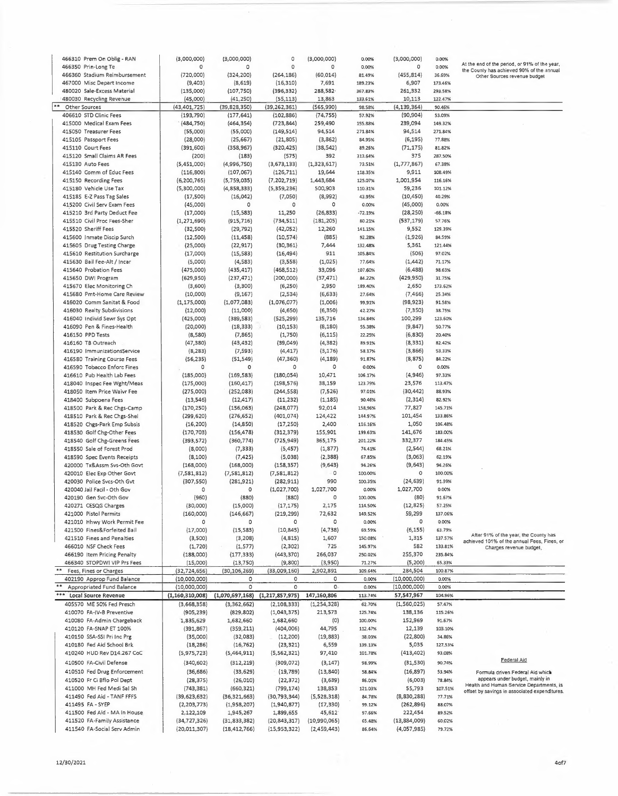| 466310 Prem On Oblig - RAN                                 | (3,000,000)                    | (3,000,000)                    | 0                                   | (3,000,000)                 | 0.00%              | (3,000,000)                 | 0.00%              |                                                                                            |
|------------------------------------------------------------|--------------------------------|--------------------------------|-------------------------------------|-----------------------------|--------------------|-----------------------------|--------------------|--------------------------------------------------------------------------------------------|
| 466350 Prin-Long Te                                        | 0                              | $\Omega$                       | $\circ$                             | о                           | 0.00%              | 0                           | 0.00%              | At the end of the period, or 91% of the year,<br>the County has achieved 90% of the annual |
| 466360 Stadium Reimbursement                               | (720,000)                      | (324, 200)                     | (264, 186)                          | (60, 014)                   | 81.49%             | (455, 814)                  | 36.69%             | Other Sources revenue budget                                                               |
| 467000 Misc Depart Income<br>480020 Sale-Excess Material   | (9,403)<br>(135,000)           | (8,619)<br>(107, 750)          | (16, 310)<br>(396, 332)             | 7,691<br>288,582            | 189.23%<br>367.83% | 6,907<br>261,332            | 173.46%<br>293.58% |                                                                                            |
| 480030 Recycling Revenue                                   | (45,000)                       | (41, 250)                      | (55, 113)                           | 13,863                      | 133.61%            | 10,113                      | 122.47%            |                                                                                            |
| Other Sources                                              | (43, 401, 725)                 | (39, 828, 350)                 | (39, 262, 361)                      | (565, 990)                  | 98.58%             | (4, 139, 364)               | 90.46%             |                                                                                            |
| 406610 STD Clinic Fees                                     | (193, 790)                     | (177, 641)                     | (102, 886)                          | (74, 755)                   | 57.92%             | (90, 904)                   | 53.09%             |                                                                                            |
| 415000 Medical Exam Fees                                   | (484, 750)                     | (464, 354)                     | (723, 844)                          | 259,490                     | 155.88%            | 239,094                     | 149.32%            |                                                                                            |
| 415050 Treasurer Fees                                      | (55,000)                       | (55,000)                       | (149, 514)                          | 94,514                      | 271.84%            | 94,514                      | 271.84%            |                                                                                            |
| 415105 Passport Fees                                       | (28,000)                       | (25, 667)                      | (21, 805)                           | (3,862)                     | 84.95%             | (6, 195)                    | 77.88%             |                                                                                            |
| 415110 Court Fees                                          | (391, 600)                     | (358, 967)                     | (320, 425)                          | (38, 542)                   | 89.26%             | (71,175)                    | 81.82%             |                                                                                            |
| 415120 Small Claims AR Fees                                | (200)                          | (183)                          | (575)                               | 392                         | 313.64%            | 375                         | 287.50%            |                                                                                            |
| 415130 Auto Fees<br>415140 Comm of Educ Fees               | (5,451,000)<br>(116,800)       | (4,996,750)<br>(107, 067)      | (3,673,133)<br>(126, 711)           | (1,323,617)<br>19,644       | 73.51%<br>118.35%  | (1, 777, 867)<br>9,911      | 67.38%<br>108.49%  |                                                                                            |
| 415150 Recording Fees                                      | (6, 200, 765)                  | (5,759,035)                    | (7, 202, 719)                       | 1,443,684                   | 125.07%            | 1,001,954                   | 116.16%            |                                                                                            |
| 415180 Vehicle Use Tax                                     | (5,300,000)                    | (4,858,333)                    | (5,359,236)                         | 500,903                     | 110.31%            | \$9,236                     | 101.12%            |                                                                                            |
| 415185 E-Z Pass Tag Sales                                  | (17,500)                       | (16,042)                       | (7,050)                             | (8,992)                     | 43.95%             | (10, 450)                   | 40.29%             |                                                                                            |
| 415200 Civil Serv Exam Fees                                | (45,000)                       | 0                              | 0                                   | 0                           | 0.00%              | (45,000)                    | 0.00%              |                                                                                            |
| 415210 3rd Party Deduct Fee                                | (17,000)                       | (15, 583)                      | 11,250                              | (26, 833)                   | $-72.19%$          | (28, 250)                   | $-66.18%$          |                                                                                            |
| 415510 Civil Proc Fees-Sher                                | (1, 271, 690)                  | (915, 716)                     | (734, 511)                          | (181, 205)                  | 80.21%             | (537, 179)                  | 57.76%             |                                                                                            |
| 415520 Sheriff Fees                                        | (32, 500)                      | (29, 792)                      | (42,052)                            | 12,260                      | 141.15%            | 9,552                       | 129.39%            |                                                                                            |
| 415600 Inmate Discip Surch                                 | (12, 500)                      | (11, 458)                      | (10, 574)                           | (885)                       | 92.28%             | (1,926)                     | 84.59%             |                                                                                            |
| 415605 Drug Testing Charge                                 | (25,000)                       | (22, 917)                      | (30, 361)                           | 7,444                       | 132.48%            | 5,361                       | 121.44%            |                                                                                            |
| 415610 Restitution Surcharge                               | (17,000)                       | (15, 583)                      | (16, 494)                           | 911                         | 105.84%            | (506)                       | 97.02%             |                                                                                            |
| 415630 Bail Fee-Alt / Incar                                | (5,000)                        | (4,583)                        | (3,558)                             | (1,025)                     | 77.64%             | (1,442)                     | 71.17%             |                                                                                            |
| 415640 Probation Fees                                      | (475,000)                      | (435, 417)                     | (468, 512)                          | 33,096                      | 107.60%            | (6, 488)                    | 98.63%             |                                                                                            |
| 415650 DWI Program                                         | (629, 950)                     | (237, 471)                     | (200,000)                           | (37, 471)                   | 84.22%             | (429, 950)                  | 31.75%             |                                                                                            |
| 415670 Elec Monitoring Ch<br>415680 Pmt-Home Care Review   | (3,600)                        | (3,300)                        | (6, 250)                            | 2,950                       | 189.40%            | 2,650                       | 173.62%<br>25.34%  |                                                                                            |
| 416020 Comm Sanitat & Food                                 | (10,000)<br>(1, 175, 000)      | (9, 167)<br>(1,077,083)        | (2,534)<br>(1,076,077)              | (6, 633)<br>(1,006)         | 27.64%<br>99.91%   | (7, 466)<br>(98, 923)       | 91.58%             |                                                                                            |
| 416030 Realty Subdivisions                                 | (12,000)                       | (11,000)                       | (4,650)                             | (6, 350)                    | 42.27%             | (7, 350)                    | 38.75%             |                                                                                            |
| 416040 Individ Sewr Sys Opt                                | (425,000)                      | (389, 583)                     | (525, 299)                          | 135,716                     | 134.84%            | 100,299                     | 123.60%            |                                                                                            |
| 416090 Pen & Fines-Health                                  | (20,000)                       | (18, 333)                      | (10, 153)                           | (8, 180)                    | 55.38%             | (9, 847)                    | 50.77%             |                                                                                            |
| 416150 PPD Tests                                           | (8,580)                        | (7, 865)                       | (1,750)                             | (6, 115)                    | 22.25%             | (6, 830)                    | 20.40%             |                                                                                            |
| 416160 TB Outreach                                         | (47, 380)                      | (43, 432)                      | (39,049)                            | (4, 382)                    | 89.91%             | (8, 331)                    | 82.42%             |                                                                                            |
| 416190 ImmunizationsService                                | (8, 283)                       | (7,593)                        | (4, 417)                            | (3, 176)                    | 58.17%             | (3,866)                     | 53.33%             |                                                                                            |
| 416580 Training Course Fees                                | (56, 235)                      | (51, 549)                      | (47, 360)                           | (4, 189)                    | 91.87%             | (8, 875)                    | 84.22%             |                                                                                            |
| 416590 Tobacco Enforc Fines                                | 0                              | o                              | 0                                   | 0                           | 0.00%              | о                           | 0.00%              |                                                                                            |
| 416610 Pub Health Lab Fees                                 | (185,000)                      | (169, 583)                     | (180, 054)                          | 10,471                      | 106.17%            | (4,946)                     | 97.33%             |                                                                                            |
| 418040 Inspec Fee Wght/Meas                                | (175,000)                      | (160, 417)                     | (198, 576)                          | 38,159                      | 123.79%            | 23,576                      | 113.47%            |                                                                                            |
| 418050 Item Price Waivr Fee                                | (275,000)                      | (252,083)                      | (244, 558)                          | (7, 526)                    | 97.01%             | (30, 442)                   | 88.93%             |                                                                                            |
| 418400 Subpoena Fees                                       | (13, 546)                      | (12, 417)                      | (11, 232)                           | (1, 185)                    | 90.46%             | (2,314)                     | 82.92%             |                                                                                            |
| 418500 Park & Rec Chgs-Camp                                | (170, 250)                     | (156,063)                      | (248, 077)                          | 92,014                      | 158.96%            | 77,827                      | 145.71%            |                                                                                            |
| 418510 Park & Rec Chgs-Shel                                | (299, 620)                     | (276, 652)                     | (401, 074)                          | 124,422                     | 144.97%            | 101,454                     | 133.86%            |                                                                                            |
|                                                            |                                |                                |                                     |                             |                    |                             |                    |                                                                                            |
| 418520 Chgs-Park Emp Subsis                                | (16, 200)                      | (14, 850)                      | (17, 250)                           | 2,400                       | 116.16%            | 1,050                       | 106.48%            |                                                                                            |
| 418530 Golf Chg-Other Fees                                 | (170, 703)                     | (156, 478)                     | (312, 379)                          | 155,901                     | 199.63%            | 141,676                     | 183.00%            |                                                                                            |
| 418540 Golf Chg-Greens Fees                                | (393, 572)                     | (360, 774)                     | (725, 949)                          | 365,175                     | 201.22%            | 332,377                     | 184.45%            |                                                                                            |
| 418550 Sale of Forest Prod                                 | (8,000)                        | (7, 333)                       | (5, 457)                            | (1, 877)                    | 74.41%             | (2,544)                     | 68.21%             |                                                                                            |
| 418590 Spec Events Receipts                                | (8,100)                        | (7, 425)                       | (5,038)                             | (2, 388)                    | 67.85%             | (3,063)                     | 62.19%             |                                                                                            |
| 420000 Tx&Assm Svs-Oth Govt                                | (168,000)                      | (168,000)                      | (158, 357)                          | (9,643)<br>0                | 94.26%<br>100.00%  | (9,643)<br>0                | 94.26%<br>100.00%  |                                                                                            |
| 420010 Elec Exp Other Govt<br>420030 Police Svcs-Oth Gvt   | (7,581,812)                    | (7, 581, 812)                  | (7,581,812)                         | 990                         | 100.35%            | (24,639)                    | 91.99%             |                                                                                            |
| 420040 Jail Facil - Oth Gov                                | (307, 550)<br>0                | (281, 921)<br>$\mathsf{o}$     | (282,911)<br>(1,027,700)            | 1,027,700                   | 0.00%              | 1,027,700                   | 0.00%              |                                                                                            |
| 420190 Gen Svc-Oth Gov                                     | (960)                          | (880)                          | (880)                               | $\circ$                     | 100.00%            | (80)                        | 91.67%             |                                                                                            |
| 420271 CESQG Charges                                       | (30,000)                       | (15,000)                       | (17, 175)                           | 2,175                       | 114.50%            | (12, 825)                   | 57.25%             |                                                                                            |
| 421000 Pistol Permits                                      | (160,000)                      | (146, 667)                     | (219, 299)                          | 72,632                      | 149.52%            | 59,299                      | 137.06%            |                                                                                            |
| 421010 Hhwy Work Permit Fee                                | 0                              | 0                              | 0                                   | 0                           | 0.00%              | $\circ$                     | 0.00%              |                                                                                            |
| 421500 Fines&Forfeited Bail                                | (17,000)                       | (15, 583)                      | (10, 845)                           | (4, 738)                    | 69.59%             | (6, 155)                    | 63.79%             |                                                                                            |
| 421510 Fines and Penalties                                 | (3,500)                        | (3, 208)                       | (4, 815)                            | 1,607                       | 150.08%            | 1,315                       | 137.57%            | After 91% of the year, the County has<br>achieved 101% of the annual Fees, Fines, or       |
| 466010 NSF Check Fees                                      | (1,720)                        | (1, 577)                       | (2, 302)                            | 725                         | 145.97%            | 582                         | 133.81%            | Charges revenue budget,                                                                    |
| 466190 Item Pricing Penalty                                | (188,000)                      | (177, 333)                     | (443, 370)                          | 266,037                     | 250.02%            | 255,370                     | 235.84%            |                                                                                            |
| 466340 STOPDWI VIP Prs Fees<br>**                          | (15,000)                       | (13, 750)                      | (9,800)                             | (3,950)                     | 71.27%             | (5, 200)                    | 65.33%             |                                                                                            |
| Fees, Fines or Charges                                     | (32, 724, 656)                 | (30, 106, 269)                 | (33,009,160)                        | 2,902,891                   | 109.64%            | 284,504                     | 100.87%            |                                                                                            |
| 402190 Approp Fund Balance                                 | (10,000,000)                   | 0                              | $\mathbf{o}$                        | 0                           | 0.00%              | (10,000,000)                | 0.00%              |                                                                                            |
| Appropriated Fund Balance<br>***                           | (10,000,000)                   | $\circ$                        | $\circ$                             | $\circ$                     | 0.00%<br>113.74%   | (10,000,000)                | 0.00%<br>104.96%   |                                                                                            |
| Local Source Revenue                                       | (1, 160, 310, 008)             | (1,070,697,168)                | (1, 217, 857, 975)<br>(2, 108, 333) | 147,160,806                 |                    | 57,547,967                  | 57.47%             |                                                                                            |
| 405570 ME 50% Fed Presch<br>410070 FA-IV-B Preventive      | (3,668,358)<br>(905, 239)      | (3, 362, 662)<br>(829, 802)    | (1,043,375)                         | (1, 254, 328)<br>213,573    | 62.70%<br>125.74%  | (1,560,025)<br>138,136      | 115.26%            |                                                                                            |
| 410080 FA-Admin Chargeback                                 | 1,835,629                      | 1,682,660                      | 1,682,660                           | (0)                         | 100.00%            | 152,969                     | 91.67%             |                                                                                            |
| 410120 FA-SNAP ET 100%                                     | (391, 867)                     | (359, 211)                     | (404,006)                           | 44,795                      | 112.47%            | 12,139                      | 103.10%            |                                                                                            |
| 410150 SSA-SSI Pri Inc Prg                                 | (35,000)                       | (32,083)                       | (12, 200)                           | (19, 883)                   | 38.03%             | (22, 800)                   | 34.86%             |                                                                                            |
| 410180 Fed Aid School Brk                                  | (18, 286)                      | (16, 762)                      | (23, 321)                           | 6,559                       | 139.13%            | 5,035                       | 127,53%            |                                                                                            |
| 410240 HUD Rev D14.267 CoC                                 | (5,975,723)                    | (5,464,911)                    | (5, 562, 321)                       | 97,410                      | 101.78%            | (413, 402)                  | 93.08%             |                                                                                            |
| 410500 FA-Civil Defense                                    | (340, 602)                     | (312, 219)                     | (309, 072)                          | (3, 147)                    | 98.99%             | (31, 530)                   | 90.74%             | Federal Aid                                                                                |
| 410510 Fed Drug Enforcement                                | (36, 686)                      | (33, 629)                      | (19,789)                            | (13, 840)                   | 58.84%             | (16, 897)                   | 53.94%             | Formula driven Federal Aid which                                                           |
| 410520 Fr Ci Bflo Pol Dept                                 | (28, 375)                      | (26, 010)                      | (22, 372)                           | (3,639)                     | 86.01%             | (6,003)                     | 78.84%             | appears under budget, mainly in                                                            |
| 411000 MH Fed Medi Sal Sh                                  | (743, 381)                     | (660, 321)                     | (799, 174)                          | 138,853                     | 121.03%            | 55,793                      | 107.51%            | Health and Human Service Departments, is                                                   |
| 411490 Fed Aid - TANF FFFS                                 | (39, 623, 632)                 | (36, 321, 663)                 | (30, 793, 344)                      | (5,528,318)                 | 84.78%             | (8,830,288)                 | 77.71%             | offset by savings in associated expend tures.                                              |
| 411495 FA - SYEP                                           | (2, 203, 773)                  | (1,958,207)                    | (1,940,877)                         | (17, 330)                   | 99.12%             | (262, 896)                  | 88.07%             |                                                                                            |
| 411500 Fed Aid - MA In House                               | 2,122,109                      | 1,945,267                      | 1,899,655                           | 45,612                      | 97.66%             | 222,454                     | 89.52%             |                                                                                            |
| 411520 FA-Family Assistance<br>411540 FA-Social Serv Admin | (34,727,326)<br>(20, 011, 307) | (31,833,382)<br>(18, 412, 766) | (20, 843, 317)<br>(15, 953, 322)    | (10,990,065)<br>(2,459,443) | 65.48%<br>86.64%   | (13,884,009)<br>(4,057,985) | 60.02%<br>79.72%   |                                                                                            |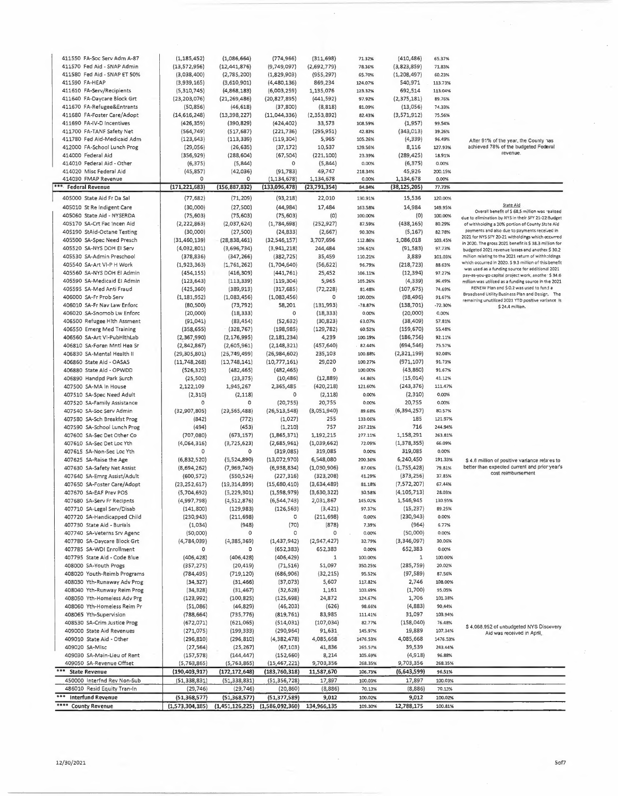| 411550 FA-Soc Serv Adm A-87                             | (1, 185, 452)   | (1,086,664)     | (774, 966)      | (311, 698)    | 71.32%             | (410, 486)           | 65.37%            |                                                                                                           |
|---------------------------------------------------------|-----------------|-----------------|-----------------|---------------|--------------------|----------------------|-------------------|-----------------------------------------------------------------------------------------------------------|
| 411570 Fed Aid - SNAP Admin                             | (13, 572, 956)  | (12, 441, 876)  | (9,749,097)     | (2,692,779)   | 78.36%             | (3,823,859)          | 71.83%            |                                                                                                           |
| 411580 Fed Aid - SNAP ET 50%                            | (3,038,400)     | (2,785,200)     | (1,829,903)     | (955, 297)    | 65.70%             | (1,208,497)          | 60.23%            |                                                                                                           |
| 411590 FA-HEAP                                          | (3,939,165)     | (3,610,901)     | (4,480,136)     | 869,234       | 124.07%            | 540,971              | 113.73%           |                                                                                                           |
| 411610 FA-Serv/Recipients                               | (5,310,745)     | (4,868,183)     | (6,003,259)     | 1,135,076     | 123.32%            | 692,514              | 113.04%           |                                                                                                           |
| 411640 FA-Daycare Block Grt                             | (23, 203, 076)  | (21, 269, 486)  | (20, 827, 895)  | (441, 592)    | 97.92%             | (2,375,181)          | 89.76%            |                                                                                                           |
| 411670 FA-Refugee&Entrants                              | (50, 856)       | (46, 618)       | (37,800)        | (8, 818)      | 81.09%             | (13,056)             | 74.33%            |                                                                                                           |
| 411680 FA-Foster Care/Adopt                             | (14, 616, 248)  | (13, 398, 227)  | (11,044,336)    | (2,353,892)   | 82.43%             | (3,571,912)          | 75.56%            |                                                                                                           |
| 411690 FA-IV-D Incentives                               | (426, 359)      | (390, 829)      | (424, 402)      | 33,573        | 108.59%            | (1,957)              | 99.54%            |                                                                                                           |
| 411700 FA-TANF Safety Net                               | (564, 749)      | (517, 687)      | (221, 736)      | (295, 951)    | 42.83%             | (343,013)            | 39.26%            |                                                                                                           |
| 411780 Fed Aid-Medicaid Adm                             | (123, 643)      | (113, 339)      | (119, 304)      | 5,965         | 105.26%            | (4, 339)             | 96.49%            | After 91% of the year, the County has                                                                     |
| 412000 FA-School Lunch Prog                             | (29, 056)       | (26, 635)       | (37, 172)       | 10,537        | 139.56%            | 8,116                | 127.93%           | achieved 78% of the budgeted Federal<br>revenue.                                                          |
| 414000 Federal Aid                                      | (356, 929)      | (288, 604)      | (67, 504)       | (221, 100)    | 23.39%             | (289, 425)           | 18.91%            |                                                                                                           |
| 414010 Federal Aid - Other                              | (6, 375)        | (5, 844)        | $\circ$         | (5,844)       | 0.00%              | (6, 375)             | 0.00%             |                                                                                                           |
| 414020 Misc Federal Aid                                 | (45, 857)       | (42,036)        | (91, 783)       | 49,747        | 218.34%            | 45,926               | 200.15%           |                                                                                                           |
| 414030 FMAP Revenue                                     | o               | 0               | (1, 134, 678)   | 1,134,678     | 0.00%              | 1,134,678            | 0.00%             |                                                                                                           |
| *** Federal Revenue                                     | (171, 221, 683) | (156, 887, 832) | (133,096,478)   | (23,791,354)  | 84.84%             | (38, 125, 205)       | 77.73%            |                                                                                                           |
| 405000 State Aid Fr Da Sal                              | (77, 682)       | (71, 209)       | (93, 218)       | 22,010        | 130.91%            | 15,536               | 120.00%           |                                                                                                           |
| 405010 St Re Indigent Care                              | (30,000)        | (27, 500)       | (44,984)        | 17,484        | 163.58%            | 14,984               | 149.95%           | <b>State Aid</b><br>Overall benefit of \$ 68.5 million was realized                                       |
| 405060 State Aid - NYSERDA                              | (75, 603)       | (75, 603)       | (75, 603)       | (0)           | 100.00%            | (0)                  | 100.00%           | due to elimination by NYS in their SFY 21-22 Budget                                                       |
| 405170 SA-Crt Fac Incen Aid                             | (2, 222, 863)   | (2,037,624)     | (1,784,698)     | (252, 927)    | 87.59%             | (438, 165)           | 80.29%            | of withholding a 20% portion of County State Aid                                                          |
| 405190 StAid-Octane Testing                             | (30,000)        | (27, 500)       | (24, 833)       | (2,667)       | 90.30%             | (5, 167)             | 82.78%            | payments and also due to payments received in                                                             |
| 405500 SA-Spec Need Presch                              | (31, 460, 139)  | (28,838,461)    | (32, 546, 157)  | 3,707,696     | 112.86%            | 1,086,018            | 103.45%           | 2021 for NYS SFY 20-21 witholdings which accurred                                                         |
| 405520 SA-NYS DOH EI Serv                               | (4,032,801)     | (3,696,734)     | (3,941,218)     | 244,484       | 106.61%            | (91, 583)            | 97.73%            | in 2020. The gross 2021 benefit is \$ 38.3 million for<br>budgeted 2021 revenue losses and another \$30.2 |
| 405530 SA-Admin Preschool                               | (378, 836)      | (347, 266)      | (382, 725)      | 35,459        | 110.21%            | 3,889                | 101.03%           | million relating to the 2021 return of withholdings                                                       |
| 405540 SA-Art VI-P H Work                               | (1,923,363)     | (1,761,262)     | (1,704,640)     | (56, 622)     | 96.79%             | (218, 723)           | 88.63%            | which occurred in 2020. \$9.3 million of this benefit                                                     |
| 405560 SA-NYS DOH El Admin                              | (454, 155)      | (416, 309)      | (441,761)       | 25,452        | 106.11%            | (12, 394)            | 97.27%            | was used as a funding source for additional 2021<br>pay-as-you-go capital project work, anothe - \$ 34.6  |
| 405590 SA-Medicaid El Admin                             | (123, 643)      | (113, 339)      | (119, 304)      | 5,965         | 105.26%            | (4, 339)             | 96.49%            | million was utilized as a funding source in the 2021                                                      |
| 405595 SA-Med Anti Fraud                                | (425, 360)      | (389, 913)      | (317, 685)      | (72, 228)     | 81.48%             | (107, 675)           | 74.69%            | RENEW Plan and \$0.2 was used to fund a                                                                   |
| 406000 SA-Fr Prob Serv                                  | (1, 181, 952)   | (1,083,456)     | (1,083,456)     | O             | 100.00%            | (98, 496)            | 91.67%            | Broadband Utility Business Plan and Desigr. The                                                           |
| 406010 SA-Fr Nav Law Enforc                             | (80, 500)       | (73, 792)       | 58,201          | (131, 993)    | $-78.87%$          | (138,701)            | $-72.30%$         | remaining unutilized 2021 YTD positive variance is<br>\$24.4 million.                                     |
| 406020 SA-Snomob Lw Enforc                              | (20,000)        | (18, 333)       | 0               | (18, 333)     | 0.00%              | (20,000)             | 0.00%             |                                                                                                           |
| 406500 Refugee Hith Assment                             | (91, 041)       | (83, 454)       | (52, 632)       | (30, 823)     | 63.07%             | (38, 409)            | 57.81%            |                                                                                                           |
| 406550 Emerg Med Training                               | (358, 655)      | (328, 767)      | (198, 985)      | (129, 782)    | 60.52%             | (159, 670)           | 55.48%            |                                                                                                           |
| 406560 SA-Art VI-PubHlthLab                             | (2,367,990)     | (2, 176, 995)   | (2, 181, 234)   | 4,239         | 100.19%            | (186, 756)           | 92.11%            |                                                                                                           |
| 406810 SA-Foren Mntl Hea Sr                             | (2,842,867)     | (2,605,961)     | (2, 148, 321)   | (457, 640)    | 82.44%             | (694, 546)           | 75.57%            |                                                                                                           |
| 406830 SA-Mental Health II                              | (29,305,801)    | (25,749,499)    | (26,984,602)    | 235,103       | 100.88%            | (2,321,199)          | 92.08%            |                                                                                                           |
| 406860 State Aid - OASA5                                | (11,748,268)    | (13,748,141)    | (10, 777, 161)  | 29,020        | 100.27%            | (971, 107)           | 91.73%            |                                                                                                           |
| 406880 State Aid - OPWDD                                | (526, 325)      | (482, 465)      | (482, 465)      | o             | 100.00%            | (43, 860)            | 91.67%            |                                                                                                           |
| 406890 Handpd Park Surch                                | (25, 500)       | (23, 375)       | (10, 486)       | (12, 889)     | 44.86%             | (15,014)             | 41.12%            |                                                                                                           |
| 407500 SA-MA In House                                   | 2,122,109       | 1,945,267       | 2,365,485       | (420, 218)    | 121.60%            | (243, 376)           | 111.47%           |                                                                                                           |
| 407510 SA-Spec Need Adult                               | (2,310)         | (2, 118)        | 0               | (2, 118)      | 0.00%              | (2, 310)             | 0.00%             |                                                                                                           |
| 407520 SA-Family Assistance                             | 0               | O               | (20, 755)       | 20,755        | 0.00%              | 20,755               | 0.00%             |                                                                                                           |
| 407540 SA-Soc Serv Admin                                | (32,907,805)    | (29, 565, 488)  | (26, 513, 548)  | (3,051,940)   | 89.68%             | (6, 394, 257)        | 80.57%            |                                                                                                           |
| 407580 SA-Sch Breakfst Prog                             | (842)           | (772)           | (1,027)         | 255           | 133.06%            | 185                  | 121.97%           |                                                                                                           |
| 407590 SA-School Lunch Prog                             | (494)           | (453)           | (1, 210)        | 757           | 267.21%            | 716                  | 244.94%           |                                                                                                           |
| 407600 SA-Sec Det Other Co                              | (707,080)       | (673, 157)      | (1,865,371)     | 1,192,215     | 277.11%            | 1,158,291            | 263.81%           |                                                                                                           |
| 407610 SA-Sec Det Loc Yth                               | (4,064,316)     | (3,725,623)     | (2,685,961)     | (1,039,662)   | 72.09%             | (1,378,355)          | 66.09%            |                                                                                                           |
| 407615 SA-Non-Sec Loc Yth                               | o               | o               | (319,085)       | 319,085       | 0.00%              | 319,085              | 0.00%             |                                                                                                           |
| 407625 SA-Raise the Age                                 | (6, 832, 520)   | (5,524,890)     | (13,072,970)    | 6,548,080     | 200.36%            | 6,240,450            | 191.33%           | \$4.8 million of positive vanance relates to                                                              |
| 407630 SA-Safety Net Assist                             | (8,694,262)     | (7,969,740)     | (6,938,834)     | (1,030,906)   | 87.06%             | (1,755,428)          | 79.81%            | better than expected current and prior year's                                                             |
| 407640 5A-Emrg Assist/Adult                             | (600, 572)      | (550, 524)      | (227, 316)      | (323, 208)    | 41.29%             | (373, 256)           | 37.85%            | cost reimbursement                                                                                        |
| 407650 SA-Foster Care/Adopt                             | (23, 252, 617)  | (19, 314, 899)  | (15,680,410)    | (3,634,489)   | 81.18%             | (7,572,207)          | 67.44%            |                                                                                                           |
| 407670 SA-EAF Prev POS                                  | (5,704,692)     | (5, 229, 301)   | (1, 598, 979)   | (3,630,322)   | 30.58%             | (4, 105, 713)        | 28.03%            |                                                                                                           |
| 407680 SA-Serv Fr Recipnts                              | (4,997,798)     | (4, 512, 876)   | (6, 544, 743)   | 2,031,867     | 145.02%            | 1,546,945            | 130.95%           |                                                                                                           |
| 407710 SA-Legal Serv/Disab                              | (141, 800)      | (129, 983)      | (126, 563)      | (3, 421)      | 97.37%             | (15, 237)            | 89.25%            |                                                                                                           |
| 407720 SA-Handicapped Child                             | (230, 943)      | (211, 698)      | 0               | (211, 698)    | 0.00%              | (230, 943)           | 0.00%             |                                                                                                           |
| 407730 State Aid - Burials                              | (1,034)         | (948)           | (70)            | (878)         | 7,39%              | (964)                | 6.77%             |                                                                                                           |
| 407740 SA-Veterns Srv Agenc                             | (50,000)        | 0               | 0               | $\circ$       | 0.00%              | (50,000)             | 0.00%             |                                                                                                           |
| 407780 SA-Daycare Block Grt                             | (4,784,039)     | (4, 385, 369)   | (1,437,942)     | (2, 947, 427) | 32.79%             | (3,346,097)          | 30.06%            |                                                                                                           |
| 407785 SA-WDI Enrollment                                | 0               | о               | (652, 383)      | 652,383       | 0.00%              | 652,383              | 0.00%             |                                                                                                           |
| 407795 State Aid - Code Blue                            | (406, 428)      | (406, 428)      | (406, 429)      | 1             | 100.00%            | 1                    | 100.00%           |                                                                                                           |
| 408000 SA-Youth Progs                                   | (357, 275)      | (20, 419)       | (71, 516)       | \$1,097       | 350.25%            | (285, 759)           | 20.02%            |                                                                                                           |
| 408020 Youth-Reimb Programs                             | (784, 495)      | (719, 120)      | (686, 906)      | (32, 215)     | 95.52%             | (97, 589)            | 87.56%            |                                                                                                           |
| 408030 Yth-Runaway Adv Prog                             | (34, 327)       | (31, 466)       | (37,073)        | 5,607         | 117.82%            | 2,746                | 108.00%           |                                                                                                           |
| 408040 Yth-Runway Reim Prog                             | (34, 328)       | (31, 467)       | (32, 628)       | 1,161         | 103.69%            | (1,700)              | 95.05%            |                                                                                                           |
| 408050 Yth-Homeless Adv Prg                             | (123, 992)      | (100, 825)      | (125, 698)      | 24,872        | 124.67%            | 1,706                | 101.38%           |                                                                                                           |
| 408060 Yth-Homeless Reim Pr                             | (51,086)        | (46, 829)       | (46, 203)       | (626)         | 98.66%             | (4,883)              | 90,44%            |                                                                                                           |
| 408065 Yth-Supervision                                  | (788, 664)      | (735, 776)      | (819, 761)      | 83,985        | 111.41%            | 31,097               | 103.94%           |                                                                                                           |
| 408530 SA-Crim Justice Prog                             | (672,071)       | (621,065)       | (514,031)       | (107, 034)    | 82.77%             | (158,040)            | 76.48%            |                                                                                                           |
| 409000 State Aid Revenues                               |                 |                 |                 | 91,631        | 145.97%            | 19,889               | 107.34%           | \$4,068,952 of unbudgeted NYS Discovery                                                                   |
|                                                         | (271, 075)      | (199, 333)      | (290, 964)      |               |                    | 4,085,668            |                   | Aid was received in April.                                                                                |
| 409010 State Aid - Other                                | (296, 810)      | (296, 810)      | (4, 382, 478)   | 4,085,668     | 1476.53%           |                      | 1476.53%          |                                                                                                           |
| 409020 SA-Misc                                          | (27, 564)       | (25, 267)       | (67, 103)       | 41,836        | 265.57%            | 39,539               | 243.44%           |                                                                                                           |
| 409030 SA-Main-Lieu of Rent<br>409050 SA-Revenue Offset | (157, 578)      | (144, 447)      | (152, 660)      | 8,214         | 105.69%<br>268.35% | (4,918)<br>9,703,356 | 96.88%<br>268.35% |                                                                                                           |
|                                                         | (5,763,865)     | (5, 763, 865)   | (15, 467, 221)  | 9,703,356     |                    |                      |                   |                                                                                                           |
| *** State Revenue                                       | (190, 403, 917) | (172, 172, 648) | (183, 760, 318) | 11,587,670    | 106.73%            | (6,643,599)          | 96.51%            |                                                                                                           |
| 450000 Interfnd Rev Non-Sub                             | (51, 338, 831)  | (51, 338, 831)  | (51, 356, 728)  | 17,897        | 100.03%            | 17,897               | 100.03%           |                                                                                                           |
| 486010 Resid Equity Tran-In<br>$***$                    | (29, 746)       | (29, 746)       | (20, 860)       | (8,886)       | 70.13%             | (8,886)              | 70.13%            |                                                                                                           |
| <b>Interfund Revenue</b>                                | (51, 368, 577)  | (51, 368, 577)  | (51, 377, 589)  | 9,012         | 100.02%            | 9,012                | 100.02%           |                                                                                                           |
| **** County Revenue                                     | (1,573,304,185) | (1,451,126,225) | (1,586,092,360) | 134,966,135   | 109.30%            | 12,788,175           | 100.81%           |                                                                                                           |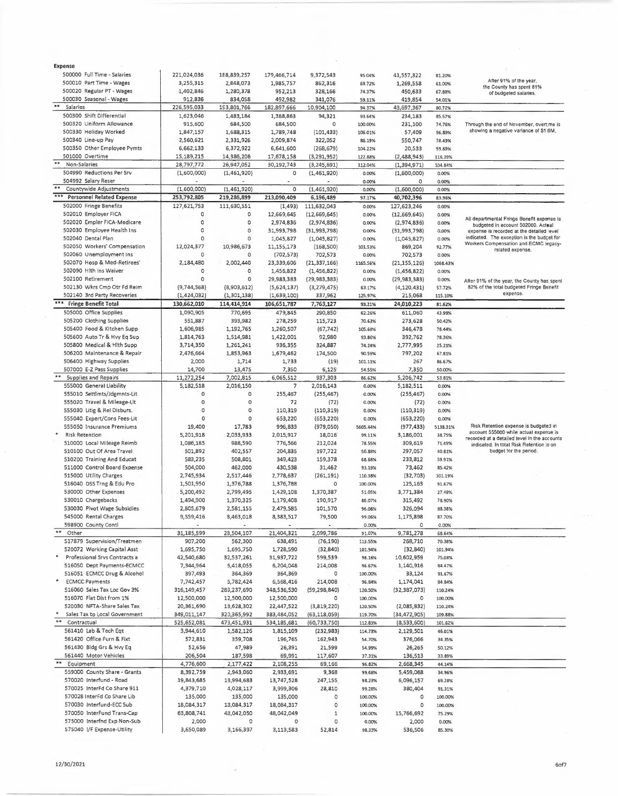| <b>Expense</b>                                                    |                    |                |                |                |                 |                  |                 |                                                   |
|-------------------------------------------------------------------|--------------------|----------------|----------------|----------------|-----------------|------------------|-----------------|---------------------------------------------------|
| 500000 Full Time - Salaries                                       | 221,024,036        | 188,839,257    | 179,466,714    | 9,372,543      | 95.04%          | 41,557,322       | 81.20%          |                                                   |
| 500010 Part Time - Wages                                          | 3,255,315          | 2,848,073      | 1,985,757      | 862,316        | 69.72%          | 1,269,558        | 61.00%          | After 91% of the year,                            |
| 500020 Regular PT - Wages                                         | 1,402,846          | 1,280,378      | 952,213        | 328,166        | 74.37%          | 450,633          | 67.88%          | the County has spent 81%<br>of budgeted salaries. |
| 500030 Seasonal - Wages                                           | 912,836            | 834,058        | 492,982        | 341,076        | 59.11%          | 419,854          | 54.01%          |                                                   |
| Salaries                                                          | 226,595,033        | 153,801,766    | 182,897,666    | 10,904,100     | 94.37%          | 43,697,367       | 80.72%          |                                                   |
|                                                                   |                    |                |                |                |                 |                  |                 |                                                   |
| 500300 Shift Differential                                         | 1,623,046          | 1,483,184      | 1,388,863      | 94,321         | 93.64%          | 234,183          | 85.57%          |                                                   |
| 500320 Uniform Allowance                                          | 915,600            | 684,500        | 684,500        | 0              | 100.00%         | 231,100          | 74.76%          | Through the end of November, overt me is          |
| 500330 Holiday Worked                                             | 1,847,157          | 1,688,315      | 1,789,748      | (101, 433)     | 106.01%         | 57,409           | 96.89%          | showing a negative variance of \$1 6M.            |
| 500340 Line-up Pay                                                | 2,560,621          | 2,331,926      | 2,009,874      | 322,052        | 86.19%          | 550,747          | 78.49%          |                                                   |
| 500350 Other Employee Pymts                                       | 6,662,133          | 6,372,922      | 6,641,600      | (268, 679)     | 104.22%         | 20,533           | 99.69%          |                                                   |
| 501000 Overtime                                                   | 15,189,215         | 14,386,206     | 17,678,158     | (3, 291, 952)  | 122.88%         | (2,488,943)      | 116.39%         |                                                   |
| **                                                                |                    |                |                |                |                 |                  |                 |                                                   |
| Non-Salaries                                                      | 28,797,772         | 26,947,052     | 30,192,743     | (3, 245, 691)  | 112.04%         | (1, 394, 971)    | 104.84%         |                                                   |
| 504990 Reductions Per Srv                                         | (1,600,000)        | (1,461,920)    | $\circ$        | (1,461,920)    | 0.00%           | (1,600,000)      | 0.00%           |                                                   |
| 504992 Salary Reser                                               |                    |                |                |                | 0.00%           | 0                | 0.00%           |                                                   |
| $***$<br>Countywide Adjustments                                   | (1,600,000)        | (1,461,920)    | $\circ$        | (1,461,920)    | 0.00%           | (1,600,000)      | 0.00%           |                                                   |
| ***<br><b>Personnel Related Expense</b>                           | 253,792,805        | 219,286,899    | 213,090,409    | 6,196,489      | 97.17%          | 40,702,396       | 83.96%          |                                                   |
| 502000 Fringe Benefits                                            | 127,621,753        | 111,630,551    | (1, 493)       | 111,632,043    | 0.00%           | 127,623,246      | 0.00%           |                                                   |
|                                                                   |                    |                |                |                |                 |                  |                 |                                                   |
| 502010 Employer FICA                                              | ٥                  | 0              | 12,669,645     | (12,669,645)   | 0.00%           | (12,669,645)     | 0.00%           | All departmental Fringe Benefit expense is        |
| 502020 Empler FICA-Medicare                                       | O                  | 0              | 2,974,836      | (2,974,836)    | 0.00%           | (2,974,836)      | 0.00%           | budgeted in account 502000. Actual                |
| 502030 Employee Health Ins                                        | 0                  | 0              | 31,993,798     | (31,993,798)   | 0.00%           | (31,993,798)     | 0.00%           | expense is recorded at the detailed level         |
| 502040 Dental Plan                                                | O                  | $\circ$        | 1,045,827      | (1,045,827)    | 0.00%           | (1,045,827)      | 0.00%           | indicated. The exception is the budget for        |
| 5020S0 Workers' Compensation                                      | 12,024,377         | 10,986,673     | 11, 155, 173   | (168, 500)     | 101.53%         | 869,204          | 92.77%          | Workers Compensation and ECMC legacy-             |
| 502060 Unemployment Ins                                           | O                  | 0              |                |                | 0.00%           |                  | 0.00%           | related expense.                                  |
|                                                                   |                    |                | (702, 573)     | 702,573        |                 | 702,573          |                 |                                                   |
| 502070 Hosp & Med-Retirees'                                       | 2,184,480          | 2,002,440      | 23,339,606     | (21, 337, 166) | 1165.56%        | (21, 155, 126)   | 1068.43%        |                                                   |
| 502090 Hith Ins Waiver                                            | 0                  | O              | 1,456,822      | (1,456,822)    | 0.00%           | (1,456,822)      | 0.00%           |                                                   |
| 502100 Retirement                                                 | O                  | O              | 29,983,383     | (29,983,383)   | 0.00%           | (29, 983, 383)   | 0.00%           | After 91% of the year, the County has spent       |
| 502130 Wkrs Cmp Otr Fd Reim                                       | (9,744,568)        | (8,903,612)    | (5,624,137)    | (3, 279, 475)  | 63.17%          | (4, 120, 431)    | 57.72%          | 82% of the total budgeted Fringe Benefit          |
| 502140 3rd Party Recoveries                                       | (1,424,032)        | (1, 301, 138)  | (1,639,100)    | 337,962        | 125.97%         | 215,068          | 115.10%         | expense.                                          |
|                                                                   |                    |                |                |                |                 |                  |                 |                                                   |
| *** Fringe Benefit Total                                          | 130,662,010        | 114,414,914    | 106,651,787    | 7,763,127      | 93.21%          | 24,010,223       | 81.62%          |                                                   |
| 505000 Office Supplies                                            | 1,090,905          | 770,695        | 479,845        | 290,850        | 62.26%          | 611,060          | 43.99%          |                                                   |
| 505200 Clothing Supplies                                          | 551,887            | 393,982        | 278,259        | 115,723        | 70.63%          | 273,628          | 50.42%          |                                                   |
| 505400 Food & Kitchen Supp                                        | 1,606,985          | 1,192,765      | 1,260,507      | (67, 742)      | 105.68%         | 346,478          | 78.44%          |                                                   |
| 505600 Auto Tr & Hvy Eq Sup                                       |                    |                |                |                |                 |                  |                 |                                                   |
|                                                                   | 1,814,763          | 1,514,981      | 1,422,001      | 92,980         | 93.86%          | 392,762          | 78.36%          |                                                   |
| 505800 Medical & Hith Supp                                        | 3,714,350          | 1,261,241      | 936,355        | 324,887        | 74.24%          | 2,777,995        | 25.21%          |                                                   |
| 506200 Maintenance & Repair                                       | 2,476,664          | 1,853,963      | 1,679,462      | 174,500        | 90.59%          | 797,202          | 67.81%          |                                                   |
| 506400 Highway Supplies                                           | 2,000              | 1,714          | 1,733          | (19)           | 101.11%         | 267              | 86.67%          |                                                   |
| 507000 E-Z Pass Supplies                                          | 14,700             | 13,475         | 7,350          | 6,125          | 54.55%          | 7,350            | 50.00%          |                                                   |
| Supplies and Repairs                                              | 11,272,254         | 7,002,815      | 6,065,512      | 937,303        |                 | 5,206,742        | 53.81%          |                                                   |
|                                                                   |                    |                |                |                | 86.62%          |                  |                 |                                                   |
| 555000 General Liability                                          | 5,182,518          | 2,016,150      | 7              | 2,016,143      | 0.00%           | 5,182,511        | 0.00%           |                                                   |
| 555010 Settlmts/Jdgmnts-Lit                                       | $\circ$            | $\circ$        | 255,467        | (255, 467)     | 0.00%           | (255, 467)       | 0.00%           |                                                   |
| 555020 Travel & Mileage-Lit                                       | 0                  | $\circ$        | 72             | (72)           | 0.00%           | (72)             | 0.00%           |                                                   |
| 555030 Litig & Rel Disburs.                                       | 0                  | $\circ$        | 110,319        | (110, 319)     | 0.00%           | (110, 319)       | 0.00%           |                                                   |
| 555040 Expert/Cons Fees-Lit                                       | 0                  | 0              | 653,220        | (653, 220)     | 0.00%           | (653, 220)       | 0.00%           |                                                   |
|                                                                   |                    |                |                |                |                 |                  |                 | Risk Retention expense is budgeted in             |
| 555050 Insurance Premiums                                         | 19,400             | 17,783         | 996,833        | (979,050)      | 5605.44%        | (977, 433)       | 5138.31%        | account 555000 while actual expense is            |
| <b>Risk Retention</b>                                             | 5,201,918          | 2,033,933      | 2,015,917      | 18,016         | 99.11%          | 3,186,001        | 38.75%          | recorded at a detailed level in the accounts      |
| 510000 Local Mileage Reimb                                        | 1,086,185          | 988,590        | 776,566        | 212,024        | 78.55%          | 309,619          | 71.49%          | indicated. In total Risk Retention is on          |
| 510100 Out Of Area Travel                                         | 501,892            | 402,557        | 204,835        | 197,722        | 50.88%          | 297,057          | 40.81%          | budget for the period.                            |
| 510200 Training And Educat                                        | 583,235            | 508,801        | 349,423        | 159,378        | 68.68%          | 233,812          | 59.91%          |                                                   |
|                                                                   |                    |                |                |                |                 |                  |                 |                                                   |
| 511000 Control Board Expense                                      | 504,000            | 462,000        | 430,538        | 31,462         | 93.19%          | 73,462           | 85.42%          |                                                   |
| 515000 Utility Charges                                            | 2,745,934          | 2,517,446      | 2,778,637      | (261, 191)     | 110.38%         | (32,703)         | 101.19%         |                                                   |
| 516040 DSS Trng & Edu Pro                                         | 1,501,950          | 1,376,788      | 1,376,788      | $\circ$        | 100.00%         | 125,163          | 91.67%          |                                                   |
| 530000 Other Expenses                                             | 5,200,492          | 2,799,495      | 1,429,108      | 1,370,387      | 51.05%          | 3,771,384        | 27.48%          |                                                   |
| 530010 Chargebacks                                                | 1,494,900          | 1,370,325      | 1,179,408      | 190,917        | 86.07%          | 315,492          | 78.90%          |                                                   |
|                                                                   |                    |                |                |                |                 |                  |                 |                                                   |
| 530030 Pivot Wage Subsidies                                       | 2,805,679          | 2,581,155      | 2,479,585      | 101,570        | 96.06%          | 326,094          | 88.38%          |                                                   |
| 545000 Rental Charges                                             | 9, S59, 416        | 3,463,018      | 8,383,517      | 79,500         | 99.06%          | 1,175,898        | 87.70%          |                                                   |
| 598900 County Conti                                               |                    |                |                |                | 0.00%           | ٥                | 0.00%           |                                                   |
| $\pm$ $\pm$<br>Other                                              | 31,185,599         | 23,504,107     | 21,404,321     | 2,099,786      | 91.07%          | 9,781,278        | 68.64%          |                                                   |
| 517879 Supervision/Treatmen                                       | 907,200            | 562,300        | 638,491        | (76, 190)      | 113.55%         | 268,710          | 70.38%          |                                                   |
| 520072 Working Capital Asst                                       | 1,695,750          | 1,695,750      | 1,728,590      | (32, 840)      | 101.94%         | (32, 840)        | 101.94%         |                                                   |
| Professional Srvs Contracts a                                     | 42,540,680         | 32,537,261     | 31,937,722     | 599,539        | 98.16%          | 10,602,959       | 75.08%          |                                                   |
|                                                                   |                    |                |                |                |                 |                  |                 |                                                   |
| 516050 Dept Payments-ECMCC                                        | 7,344,964          | 5,418,055      | 6,204,048      | 214,008        | 96.67%          | 1,140,916        | 84.47%          |                                                   |
| 516051 ECMCC Drug & Alcohol                                       | 397,493            | 364,369        | 364,369        | 0              | 100.00%         | 33,124           | 91.67%          |                                                   |
| <b>ECMCC Payments</b>                                             | 7,742,457          | 5,782,424      | 6,568,416      | 214,008        | 96.84%          | 1,174,041        | 84.84%          |                                                   |
| 516060 Sales Tax Loc Gov 3%                                       | 316,149,457        | 289,237,690    | 348,536,530    | (59,298,840)   | 120.50%         | (32, 387, 073)   | 110.24%         |                                                   |
| 516070 Flat Dist from 1%                                          | 12,500,000         | 12,500,000     | 12,500,000     | $\circ$        | 100.00%         | 0                | 100.00%         |                                                   |
|                                                                   |                    |                |                |                |                 |                  |                 |                                                   |
| 520030 NFTA-Share Sales Tax                                       | 20,361,690         | 13,628,302     | 22,447,522     | (3,819,220)    | 120.50%         | (2,085,832)      | 110.24%         |                                                   |
| Sales Tax to Local Government                                     | 349,011,147        | 320,365,992    | 383,484,052    | (63, 118, 059) | 119.70%         | (34, 472, 905)   | 109.88%         |                                                   |
| $\begin{array}{c} 0.0744 \\ 0.0744 \\ \end{array}$<br>Contractual | 525,652,081        | 473,451,931    | 534,185,681    | (60, 733, 750) | 112.83%         | (8,533,600)      | 101.62%         |                                                   |
| 561410 Lab & Tech Eqt                                             | 3,944,610          | 1,582,126      | 1,815,109      | (232, 983)     | 114.73%         | 2,129,501        | 46.01%          |                                                   |
| 561420 Office Furn & Fixt                                         | 572,831            | 359,708        | 196,765        | 162,943        | 54.70%          | 376,066          | 34.35%          |                                                   |
|                                                                   |                    |                |                |                |                 |                  |                 |                                                   |
| 561430 Bldg Grs & Hvy Eq                                          | 52,656             | 47,989         | 26,391         | 21,599         | 54.99%          | 26,265           | 50.12%          |                                                   |
| 561440 Motor Vehicles                                             | 206,504            | 187,598        | 69,991         | 117,607        | 37.31%          | 136,513          | 33.89%          |                                                   |
| $\pm\pm$<br>Equipment                                             | 4,776,600          | 2,177,422      | 2,108,255      | 69,166         | 96.82%          | 2,668,345        | 44.14%          |                                                   |
| 559000 County Share - Grants                                      | 8,392,759          | 2,943,060      | 2,933,691      | 9,368          | 99.68%          | 5,459,068        | 34.96%          |                                                   |
| 570020 Interfund - Road                                           | 19,843,685         | 13,994,683     | 13,747,528     | 247,155        | 98.23%          | 6,096,157        | 69.28%          |                                                   |
|                                                                   |                    |                |                |                |                 |                  |                 |                                                   |
| 570025 InterFd Co Share 911                                       | 4,379,710          | 4,028,117      | 3,999,306      | 28,810         | 99.28%          | 380,404          | 91.31%          |                                                   |
| 570028 InterFd Co Share Lib                                       | 135,000            | 135,000        | 135,000        | 0              | 100.00%         | $\circ$          | 100.00%         |                                                   |
| 570030 Interfund-ECC 5ub                                          | 18,084,317         | 13,084,317     | 18,084,317     | 0              | 100.00%         | о                | 100.00%         |                                                   |
| 570050 InterFund Trans-Cap                                        | 63,808,741         | 43,042,050     | 48,042,049     | $\mathbf 1$    | 100.00%         | 15,766,692       | 75.29%          |                                                   |
|                                                                   |                    |                |                |                |                 |                  |                 |                                                   |
|                                                                   |                    |                |                |                |                 |                  |                 |                                                   |
| 575000 Interfnd Exp Non-Sub<br>575040 I/F Expense-Utility         | 2,000<br>3,650,089 | ٥<br>3,166,397 | 0<br>3,113,583 | 0<br>52,814    | 0.00%<br>98.33% | 2,000<br>536,506 | 0.00%<br>85.30% |                                                   |